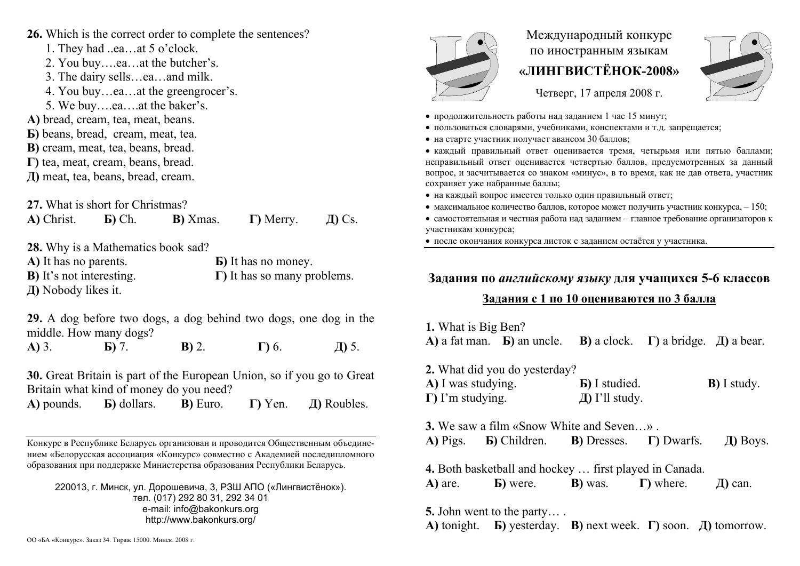- **26.** Which is the correct order to complete the sentences?
- 1. They had ..ea…at 5 o'clock.
	- 2. You buy….ea…at the butcher's.
	- 3. The dairy sells…ea…and milk.
	- 4. You buy…ea…at the greengrocer's.
- 5. We buy….ea….at the baker's.
- **А)** bread, cream, tea, meat, beans.
- **Б)** beans, bread, cream, meat, tea.
- **В)** cream, meat, tea, beans, bread.
- **Г)** tea, meat, cream, beans, bread.

**Д)** meat, tea, beans, bread, cream.

**27.** What is short for Christmas?

**А)** Christ.

**Г)** Merry. **Д)** Cs.

**28.** Why is a Mathematics book sad?

**Б)** Ch.

**А)** It has no parents. **Б)** It has no money. **В)** It's not interesting. **Г)** It has so many problems. **Д)** Nobody likes it.

**В)** Xmas.

**29.** A dog before two dogs, a dog behind two dogs, one dog in the middle. How many dogs?

**А)** 3. **Б)** 7. **В)** 2. **Г)** 6. **Д)** 5.

**30.** Great Britain is part of the European Union, so if you go to Great Britain what kind of money do you need?

**А)** pounds. **Б)** dollars. **В)** Euro. **Г)** Yen. **Д)** Roubles.

Конкурс <sup>в</sup> Республике Беларусь организован и проводится Общественным объединением «Белорусская ассоциация «Конкурс» совместно <sup>с</sup> Академией последипломного образования при поддержке Министерства образования Республики Беларусь.

220013, <sup>г</sup>. Минск, ул. Дорошевича, 3, РЗШ АПО («Лингвистёнок»). тел. (017) 292 80 31, 292 34 01 e-mail: info@bakonkurs.org http://www.bakonkurs.org/



## Международный конкурс по иностранным языкам **«ЛИНГВИСТЁНОК-2008»**

Четверг, 17 апреля 2008 г.



- продолжительность работы над заданием 1 час 15 минут;
- пользоваться словарями, учебниками, конспектами и <sup>т</sup>.д. запрещается;
- на старте участник получает авансом 30 баллов;

 каждый правильный ответ оценивается тремя, четырьмя или пятью баллами; неправильный ответ оценивается четвертью баллов, предусмотренных за данный вопрос, <sup>и</sup> засчитывается со знаком «минус», <sup>в</sup> то время, как не дав ответа, участник сохраняет уже набранные баллы;

- на каждый вопрос имеется только один правильный ответ;
- максимальное количество баллов, которое может получить участник конкурса,  $-150$ ;
- самостоятельная и честная работа над заданием главное требование организаторов к участникам конкурса;

после окончания конкурса листок <sup>с</sup> заданием остаётся у участника.

## **Задания по** *английскому языку* **для учащихся 5-6 классов**

## **Задания <sup>с</sup> 1 по 10 оцениваются по 3 балла**

**1.** What is Big Ben? **А)** a fat man. **Б)** an uncle. **В**) a clock.  $\Gamma$ ) a bridge.  $\pi$ ) a bear.

| 2. What did you do yesterday? |                       |                     |
|-------------------------------|-----------------------|---------------------|
| A) I was studying.            | <b>b</b> ) I studied. | <b>B</b> ) I study. |
| $\Gamma$ ) I'm studying.      | $\pi$ I'll study.     |                     |

**3.** We saw a film «Snow White and Seven…» . **А)** Pigs. **Б)** Children. **В)** Dresses. **Г)** Dwarfs. **Д)** Boys.

**4.** Both basketball and hockey … first played in Canada. **А)** are. **Б)** were. **В)** was. **Г)** where. **Д)** can.

**5.** John went to the party… .

**А)** tonight. **Б)** yesterday. **В)** next week. **Г)** soon. **Д)** tomorrow.